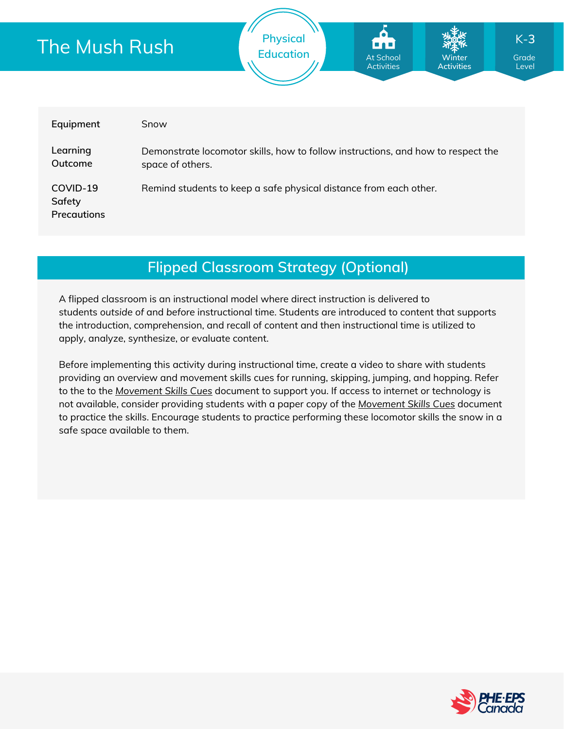| The Mush Rush                     |                                                                                                      | <b>Physical</b><br><b>Education</b> | Fri<br>At School<br><b>Activities</b> | <b>Winter</b><br><b>Activities</b> | $K-3$<br>Grade<br>Level |  |
|-----------------------------------|------------------------------------------------------------------------------------------------------|-------------------------------------|---------------------------------------|------------------------------------|-------------------------|--|
| Equipment                         | Snow                                                                                                 |                                     |                                       |                                    |                         |  |
| Learning<br>Outcome               | Demonstrate locomotor skills, how to follow instructions, and how to respect the<br>space of others. |                                     |                                       |                                    |                         |  |
| COVID-19<br>Safety<br>Precautions | Remind students to keep a safe physical distance from each other.                                    |                                     |                                       |                                    |                         |  |

## **Flipped Classroom Strategy (Optional)**

A flipped classroom is an instructional model where direct instruction is delivered to students *outside of* and *before* instructional time. Students are introduced to content that supports the introduction, comprehension, and recall of content and then instructional time is utilized to apply, analyze, synthesize, or evaluate content.

Before implementing this activity during instructional time, create a video to share with students providing an overview and movement skills cues for running, skipping, jumping, and hopping. Refer to the to the *[Movement](https://phecanada.ca/sites/default/files/content/docs/Home%20Learning%20Resource/Movement%20Cues/Movement%20Skills%20Cues%201.pdf) Skills Cues* document to support you. If access to internet or technology is not available, consider providing students with a paper copy of the *[Movement](https://phecanada.ca/sites/default/files/content/docs/Home%20Learning%20Resource/Movement%20Cues/Movement%20Skills%20Cues%201.pdf) Skills Cues* document to practice the skills. Encourage students to practice performing these locomotor skills the snow in a safe space available to them.

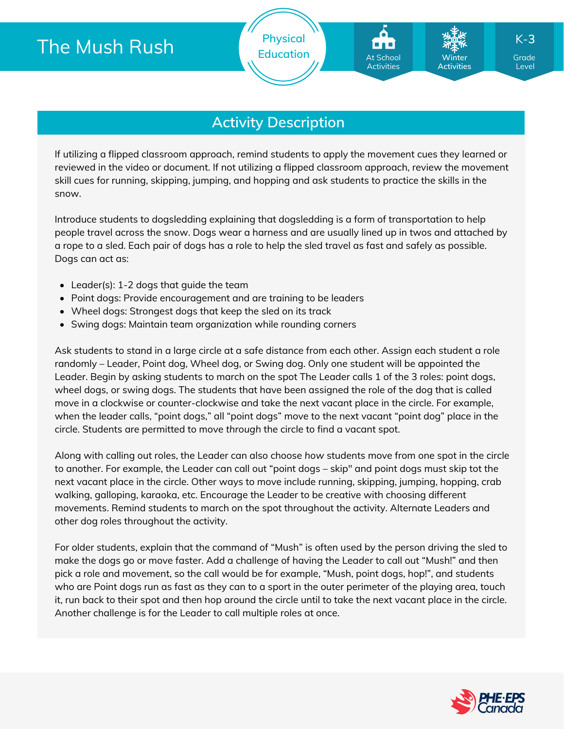# The Mush Rush

### **Activity Description**

If utilizing a flipped classroom approach, remind students to apply the movement cues they learned or reviewed in the video or document. If not utilizing a flipped classroom approach, review the movement skill cues for running, skipping, jumping, and hopping and ask students to practice the skills in the snow.

Introduce students to dogsledding explaining that dogsledding is a form of transportation to help people travel across the snow. Dogs wear a harness and are usually lined up in twos and attached by a rope to a sled. Each pair of dogs has a role to help the sled travel as fast and safely as possible. Dogs can act as:

- Leader(s): 1-2 dogs that guide the team
- Point dogs: Provide encouragement and are training to be leaders
- Wheel dogs: Strongest dogs that keep the sled on its track
- Swing dogs: Maintain team organization while rounding corners

Ask students to stand in a large circle at a safe distance from each other. Assign each student a role randomly – Leader, Point dog, Wheel dog, or Swing dog. Only one student will be appointed the Leader. Begin by asking students to march on the spot The Leader calls 1 of the 3 roles: point dogs, wheel dogs, or swing dogs. The students that have been assigned the role of the dog that is called move in a clockwise or counter-clockwise and take the next vacant place in the circle. For example, when the leader calls, "point dogs," all "point dogs" move to the next vacant "point dog" place in the circle. Students are permitted to move *through* the circle to find a vacant spot.

Along with calling out roles, the Leader can also choose *how* students move from one spot in the circle to another. For example, the Leader can call out "point dogs – skip" and point dogs must skip tot the next vacant place in the circle. Other ways to move include running, skipping, jumping, hopping, crab walking, galloping, karaoka, etc. Encourage the Leader to be creative with choosing different movements. Remind students to march on the spot throughout the activity. Alternate Leaders and other dog roles throughout the activity.

For older students, explain that the command of "Mush" is often used by the person driving the sled to make the dogs go or move faster. Add a challenge of having the Leader to call out "Mush!" and then pick a role and movement, so the call would be for example, "Mush, point dogs, hop!", and students who are Point dogs run as fast as they can to a sport in the outer perimeter of the playing area, touch it, run back to their spot and then hop around the circle until to take the next vacant place in the circle. Another challenge is for the Leader to call multiple roles at once.

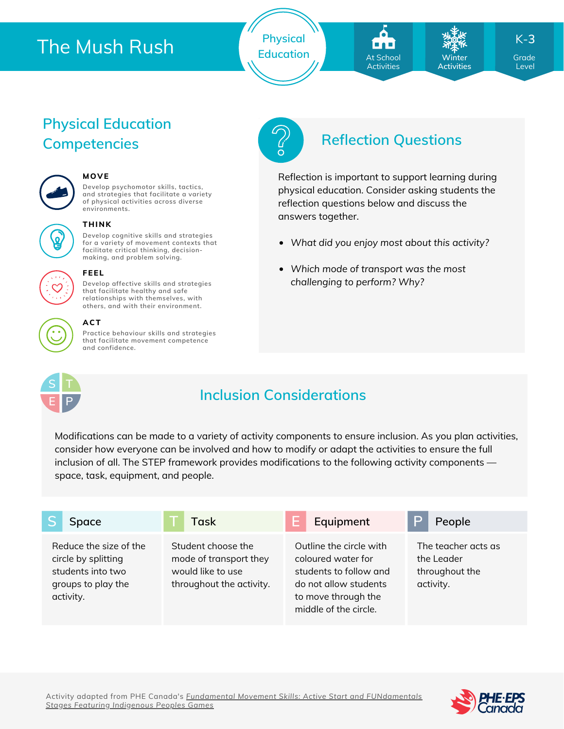# The Mush Rush

**Physical** Education **At School Minter Carde** 

At School **Activities** 

**Winter Activities**

*What did you enjoy most about this activity?*

Reflection is important to support learning during physical education. Consider asking students the

*Which mode of transport was the most*

reflection questions below and discuss the

*challenging to perform? Why?*

answers together.

K-**3**

Level

## **Physical Education Competencies Reflection Questions**



#### **MOVE**

**Develop psychomotor skills, tactics, and strategies that facilitate a variety of physical activities across diverse environments.**



### **THINK**

**Develop cognitive skills and strategies for a variety of movement contexts that facilitate critical thinking, decision making, and problem solving.**



#### **FEEL**

**Develop affective skills and strategies that facilitate healthy and safe relationships with themselves, with others, and with their environment.**

#### **ACT**

**Practice behaviour skills and strategies that facilitate movement competence and confidence.**



## **Inclusion Considerations**

Modifications can be made to a variety of activity components to ensure inclusion. As you plan activities, consider how everyone can be involved and how to modify or adapt the activities to ensure the full inclusion of all. The STEP framework provides modifications to the following activity components space, task, equipment, and people.

| Space                                                                                                 | Task                                                                                          | Equipment                                                                                                                                        | P<br>People                                                      |
|-------------------------------------------------------------------------------------------------------|-----------------------------------------------------------------------------------------------|--------------------------------------------------------------------------------------------------------------------------------------------------|------------------------------------------------------------------|
| Reduce the size of the<br>circle by splitting<br>students into two<br>groups to play the<br>activity. | Student choose the<br>mode of transport they<br>would like to use<br>throughout the activity. | Outline the circle with<br>coloured water for<br>students to follow and<br>do not allow students<br>to move through the<br>middle of the circle. | The teacher acts as<br>the Leader<br>throughout the<br>activity. |